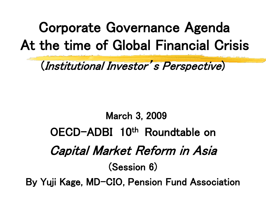# Corporate Governance Agenda At the time of Global Financial Crisis

### (Institutional Investor's Perspective)

## March 3, 2009 OECD-ADBI 10th Roundtable on Capital Market Reform in Asia (Session 6) By Yuji Kage, MD-CIO, Pension Fund Association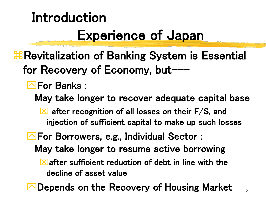# Introduction Experience of Japan

- *X* Revitalization of Banking System is Essential for Recovery of Economy, but---
	- **Next** For Banks :
		- May take longer to recover adequate capital base
			- $\boxed{\times}$  after recognition of all losses on their F/S, and injection of sufficient capital to make up such losses
	- **Solution** For Borrowers, e.g., Individual Sector: May take longer to resume active borrowing  $\mathbf{\Sigma}$  after sufficient reduction of debt in line with the decline of asset value
	- Depends on the Recovery of Housing Market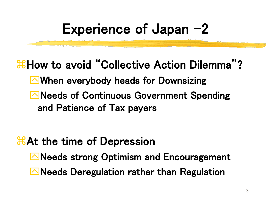## Experience of Japan  $-2$

### *H***How to avoid "Collective Action Dilemma"?** When everybody heads for Downsizing Reeds of Continuous Government Spending and Patience of Tax payers

#### **At the time of Depression**

Reeds strong Optimism and Encouragement  $\Box$  Needs Deregulation rather than Regulation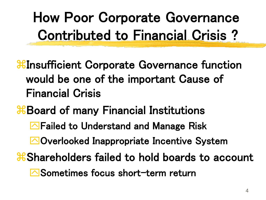How Poor Corporate Governance Contributed to Financial Crisis ?

**If Insufficient Corporate Governance function** would be one of the important Cause of Financial Crisis

**Board of many Financial Institutions** 

**External Failed to Understand and Manage Risk** 

Overlooked Inappropriate Incentive System

**& Shareholders failed to hold boards to account** 

**△Sometimes focus short-term return**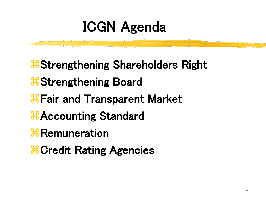## ICGN Agenda

**& Strengthening Shareholders Right** *Strengthening Board Combinator* Hair and Transparent Market **HAccounting Standard R**Remuneration *Credit Rating Agencies*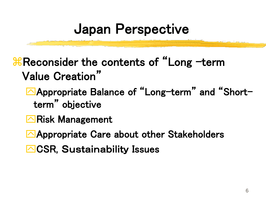## Japan Perspective

**H** Reconsider the contents of "Long -term Value Creation"

**Appropriate Balance of "Long-term" and "Short**term" objective

- **E**Risk Management
- **Appropriate Care about other Stakeholders**
- **△CSR, Sustainability Issues**